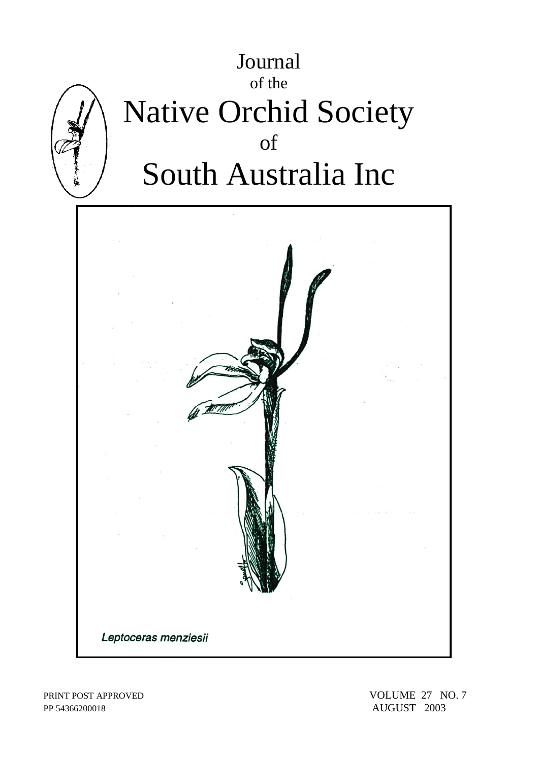

PP 54366200018 AUGUST 2003

PRINT POST APPROVED VOLUME 27 NO. 7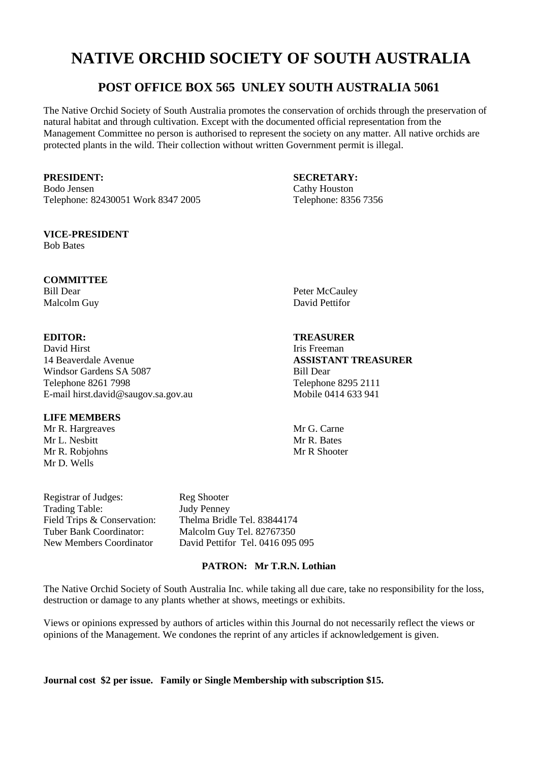# **NATIVE ORCHID SOCIETY OF SOUTH AUSTRALIA**

# **POST OFFICE BOX 565 UNLEY SOUTH AUSTRALIA 5061**

The Native Orchid Society of South Australia promotes the conservation of orchids through the preservation of natural habitat and through cultivation. Except with the documented official representation from the Management Committee no person is authorised to represent the society on any matter. All native orchids are protected plants in the wild. Their collection without written Government permit is illegal.

Bodo Jensen Cathy Houston Telephone: 82430051 Work 8347 2005 Telephone: 8356 7356

#### **VICE-PRESIDENT**

Bob Bates

### **COMMITTEE**

David Hirst **Iris Freeman** 14 Beaverdale Avenue **ASSISTANT TREASURER** Windsor Gardens SA 5087 Bill Dear Telephone 8261 7998 Telephone 8295 2111<br>E-mail hirst.david@saugov.sa.gov.au Mobile 0414 633 941 E-mail hirst.david@saugov.sa.gov.au

### **LIFE MEMBERS**

Mr R. Hargreaves Mr G. Carne<br>
Mr I. Neshitt Mr R. Bates Mr L. Nesbitt Mr R. Robiohns Mr R Shooter Mr D. Wells

Registrar of Judges: Reg Shooter Trading Table: Judy Penney

Field Trips & Conservation: Thelma Bridle Tel. 83844174<br>
Tuber Bank Coordinator: Malcolm Guy Tel. 82767350 Malcolm Guy Tel. 82767350 New Members Coordinator David Pettifor Tel. 0416 095 095

### **PATRON: Mr T.R.N. Lothian**

The Native Orchid Society of South Australia Inc. while taking all due care, take no responsibility for the loss, destruction or damage to any plants whether at shows, meetings or exhibits.

Views or opinions expressed by authors of articles within this Journal do not necessarily reflect the views or opinions of the Management. We condones the reprint of any articles if acknowledgement is given.

**Journal cost \$2 per issue. Family or Single Membership with subscription \$15.** 

**PRESIDENT: SECRETARY:**

Bill Dear Peter McCauley Malcolm Guy David Pettifor

## **EDITOR: TREASURER**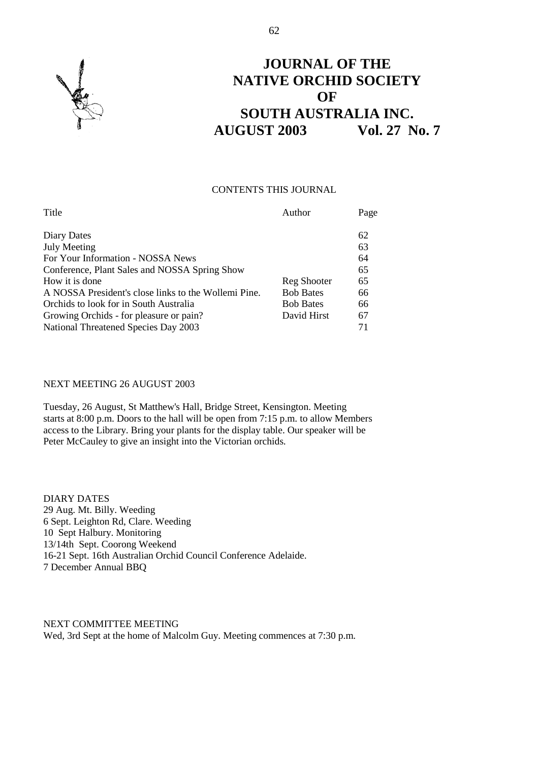

# **JOURNAL OF THE NATIVE ORCHID SOCIETY OF SOUTH AUSTRALIA INC. AUGUST 2003 Vol. 27 No. 7**

#### CONTENTS THIS JOURNAL

| Title                                                | Author           | Page |
|------------------------------------------------------|------------------|------|
| Diary Dates                                          |                  | 62   |
| <b>July Meeting</b>                                  |                  | 63   |
| For Your Information - NOSSA News                    |                  | 64   |
| Conference, Plant Sales and NOSSA Spring Show        |                  | 65   |
| How it is done                                       | Reg Shooter      | 65   |
| A NOSSA President's close links to the Wollemi Pine. | <b>Bob Bates</b> | 66   |
| Orchids to look for in South Australia               | <b>Bob Bates</b> | 66   |
| Growing Orchids - for pleasure or pain?              | David Hirst      | 67   |
| National Threatened Species Day 2003                 |                  | 71   |

### NEXT MEETING 26 AUGUST 2003

Tuesday, 26 August, St Matthew's Hall, Bridge Street, Kensington. Meeting starts at 8:00 p.m. Doors to the hall will be open from 7:15 p.m. to allow Members access to the Library. Bring your plants for the display table. Our speaker will be Peter McCauley to give an insight into the Victorian orchids.

DIARY DATES 29 Aug. Mt. Billy. Weeding 6 Sept. Leighton Rd, Clare. Weeding 10 Sept Halbury. Monitoring 13/14th Sept. Coorong Weekend 16-21 Sept. 16th Australian Orchid Council Conference Adelaide. 7 December Annual BBQ

NEXT COMMITTEE MEETING Wed, 3rd Sept at the home of Malcolm Guy. Meeting commences at 7:30 p.m.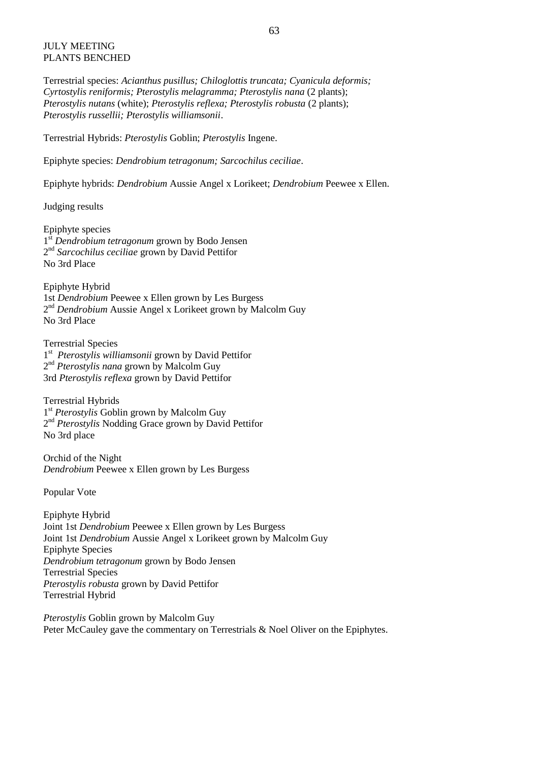#### JULY MEETING PLANTS BENCHED

Terrestrial species: *Acianthus pusillus; Chiloglottis truncata; Cyanicula deformis; Cyrtostylis reniformis; Pterostylis melagramma; Pterostylis nana* (2 plants); *Pterostylis nutans* (white); *Pterostylis reflexa; Pterostylis robusta* (2 plants); *Pterostylis russellii; Pterostylis williamsonii*.

Terrestrial Hybrids: *Pterostylis* Goblin; *Pterostylis* Ingene.

Epiphyte species: *Dendrobium tetragonum; Sarcochilus ceciliae*.

Epiphyte hybrids: *Dendrobium* Aussie Angel x Lorikeet; *Dendrobium* Peewee x Ellen.

Judging results

Epiphyte species 1 st *Dendrobium tetragonum* grown by Bodo Jensen 2 nd *Sarcochilus ceciliae* grown by David Pettifor No 3rd Place

Epiphyte Hybrid 1st *Dendrobium* Peewee x Ellen grown by Les Burgess 2<sup>nd</sup> Dendrobium Aussie Angel x Lorikeet grown by Malcolm Guy No 3rd Place

Terrestrial Species 1<sup>st</sup> Pterostylis williamsonii grown by David Pettifor 2 nd *Pterostylis nana* grown by Malcolm Guy 3rd *Pterostylis reflexa* grown by David Pettifor

Terrestrial Hybrids 1<sup>st</sup> Pterostylis Goblin grown by Malcolm Guy 2<sup>nd</sup> Pterostylis Nodding Grace grown by David Pettifor No 3rd place

Orchid of the Night *Dendrobium* Peewee x Ellen grown by Les Burgess

Popular Vote

Epiphyte Hybrid Joint 1st *Dendrobium* Peewee x Ellen grown by Les Burgess Joint 1st *Dendrobium* Aussie Angel x Lorikeet grown by Malcolm Guy Epiphyte Species *Dendrobium tetragonum* grown by Bodo Jensen Terrestrial Species *Pterostylis robusta* grown by David Pettifor Terrestrial Hybrid

*Pterostylis* Goblin grown by Malcolm Guy Peter McCauley gave the commentary on Terrestrials & Noel Oliver on the Epiphytes.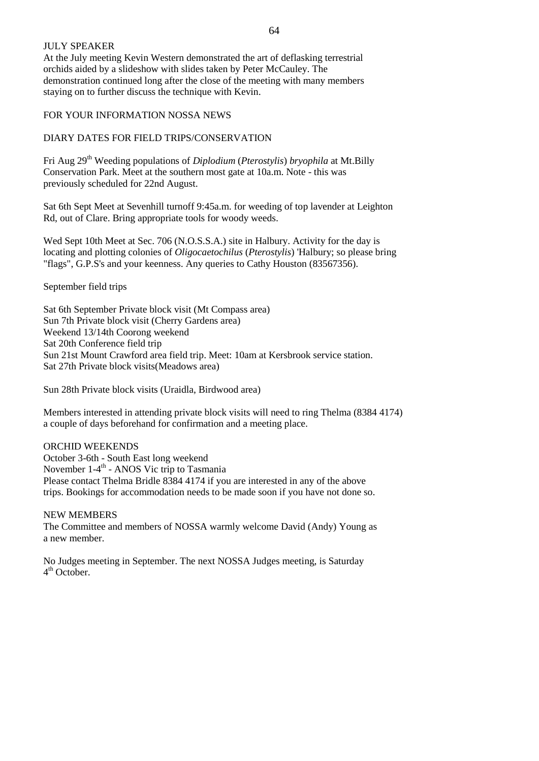#### JULY SPEAKER

At the July meeting Kevin Western demonstrated the art of deflasking terrestrial orchids aided by a slideshow with slides taken by Peter McCauley. The demonstration continued long after the close of the meeting with many members staying on to further discuss the technique with Kevin.

# FOR YOUR INFORMATION NOSSA NEWS

# DIARY DATES FOR FIELD TRIPS/CONSERVATION

Fri Aug 29th Weeding populations of *Diplodium* (*Pterostylis*) *bryophila* at Mt.Billy Conservation Park. Meet at the southern most gate at 10a.m. Note - this was previously scheduled for 22nd August.

Sat 6th Sept Meet at Sevenhill turnoff 9:45a.m. for weeding of top lavender at Leighton Rd, out of Clare. Bring appropriate tools for woody weeds.

Wed Sept 10th Meet at Sec. 706 (N.O.S.S.A.) site in Halbury. Activity for the day is locating and plotting colonies of *Oligocaetochilus* (*Pterostylis*) 'Halbury; so please bring "flags", G.P.S's and your keenness. Any queries to Cathy Houston (83567356).

September field trips

Sat 6th September Private block visit (Mt Compass area) Sun 7th Private block visit (Cherry Gardens area) Weekend 13/14th Coorong weekend Sat 20th Conference field trip Sun 21st Mount Crawford area field trip. Meet: 10am at Kersbrook service station. Sat 27th Private block visits(Meadows area)

Sun 28th Private block visits (Uraidla, Birdwood area)

Members interested in attending private block visits will need to ring Thelma (8384 4174) a couple of days beforehand for confirmation and a meeting place.

# ORCHID WEEKENDS

October 3-6th - South East long weekend November 1-4<sup>th</sup> - ANOS Vic trip to Tasmania Please contact Thelma Bridle 8384 4174 if you are interested in any of the above trips. Bookings for accommodation needs to be made soon if you have not done so.

# NEW MEMBERS

The Committee and members of NOSSA warmly welcome David (Andy) Young as a new member.

No Judges meeting in September. The next NOSSA Judges meeting, is Saturday 4<sup>th</sup> October.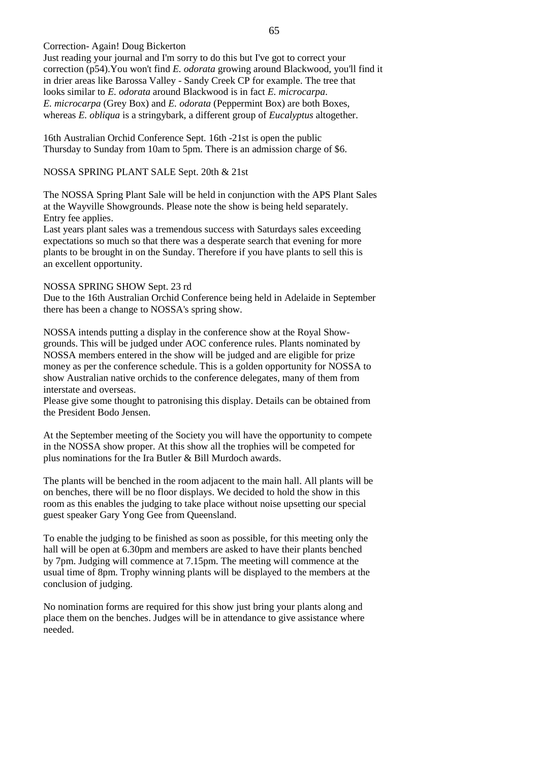Correction- Again! Doug Bickerton

Just reading your journal and I'm sorry to do this but I've got to correct your correction (p54).You won't find *E. odorata* growing around Blackwood, you'll find it in drier areas like Barossa Valley - Sandy Creek CP for example. The tree that looks similar to *E. odorata* around Blackwood is in fact *E. microcarpa*. *E. microcarpa* (Grey Box) and *E. odorata* (Peppermint Box) are both Boxes, whereas *E. obliqua* is a stringybark, a different group of *Eucalyptus* altogether.

16th Australian Orchid Conference Sept. 16th -21st is open the public Thursday to Sunday from 10am to 5pm. There is an admission charge of \$6.

NOSSA SPRING PLANT SALE Sept. 20th & 21st

The NOSSA Spring Plant Sale will be held in conjunction with the APS Plant Sales at the Wayville Showgrounds. Please note the show is being held separately. Entry fee applies.

Last years plant sales was a tremendous success with Saturdays sales exceeding expectations so much so that there was a desperate search that evening for more plants to be brought in on the Sunday. Therefore if you have plants to sell this is an excellent opportunity.

#### NOSSA SPRING SHOW Sept. 23 rd

Due to the 16th Australian Orchid Conference being held in Adelaide in September there has been a change to NOSSA's spring show.

NOSSA intends putting a display in the conference show at the Royal Showgrounds. This will be judged under AOC conference rules. Plants nominated by NOSSA members entered in the show will be judged and are eligible for prize money as per the conference schedule. This is a golden opportunity for NOSSA to show Australian native orchids to the conference delegates, many of them from interstate and overseas.

Please give some thought to patronising this display. Details can be obtained from the President Bodo Jensen.

At the September meeting of the Society you will have the opportunity to compete in the NOSSA show proper. At this show all the trophies will be competed for plus nominations for the Ira Butler & Bill Murdoch awards.

The plants will be benched in the room adjacent to the main hall. All plants will be on benches, there will be no floor displays. We decided to hold the show in this room as this enables the judging to take place without noise upsetting our special guest speaker Gary Yong Gee from Queensland.

To enable the judging to be finished as soon as possible, for this meeting only the hall will be open at 6.30pm and members are asked to have their plants benched by 7pm. Judging will commence at 7.15pm. The meeting will commence at the usual time of 8pm. Trophy winning plants will be displayed to the members at the conclusion of judging.

No nomination forms are required for this show just bring your plants along and place them on the benches. Judges will be in attendance to give assistance where needed.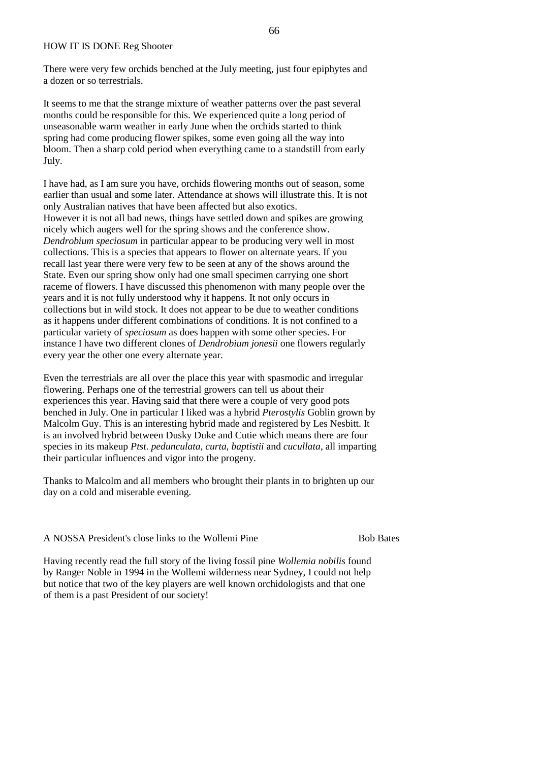#### HOW IT IS DONE Reg Shooter

There were very few orchids benched at the July meeting, just four epiphytes and a dozen or so terrestrials.

It seems to me that the strange mixture of weather patterns over the past several months could be responsible for this. We experienced quite a long period of unseasonable warm weather in early June when the orchids started to think spring had come producing flower spikes, some even going all the way into bloom. Then a sharp cold period when everything came to a standstill from early July.

I have had, as I am sure you have, orchids flowering months out of season, some earlier than usual and some later. Attendance at shows will illustrate this. It is not only Australian natives that have been affected but also exotics. However it is not all bad news, things have settled down and spikes are growing nicely which augers well for the spring shows and the conference show. *Dendrobium speciosum* in particular appear to be producing very well in most collections. This is a species that appears to flower on alternate years. If you recall last year there were very few to be seen at any of the shows around the State. Even our spring show only had one small specimen carrying one short raceme of flowers. I have discussed this phenomenon with many people over the years and it is not fully understood why it happens. It not only occurs in collections but in wild stock. It does not appear to be due to weather conditions as it happens under different combinations of conditions. It is not confined to a particular variety of *speciosum* as does happen with some other species. For instance I have two different clones of *Dendrobium jonesii* one flowers regularly every year the other one every alternate year.

Even the terrestrials are all over the place this year with spasmodic and irregular flowering. Perhaps one of the terrestrial growers can tell us about their experiences this year. Having said that there were a couple of very good pots benched in July. One in particular I liked was a hybrid *Pterostylis* Goblin grown by Malcolm Guy. This is an interesting hybrid made and registered by Les Nesbitt. It is an involved hybrid between Dusky Duke and Cutie which means there are four species in its makeup *Ptst. pedunculata, curta, baptistii* and *cucullata*, all imparting their particular influences and vigor into the progeny.

Thanks to Malcolm and all members who brought their plants in to brighten up our day on a cold and miserable evening.

A NOSSA President's close links to the Wollemi Pine Bob Bates

Having recently read the full story of the living fossil pine *Wollemia nobilis* found by Ranger Noble in 1994 in the Wollemi wilderness near Sydney, I could not help but notice that two of the key players are well known orchidologists and that one of them is a past President of our society!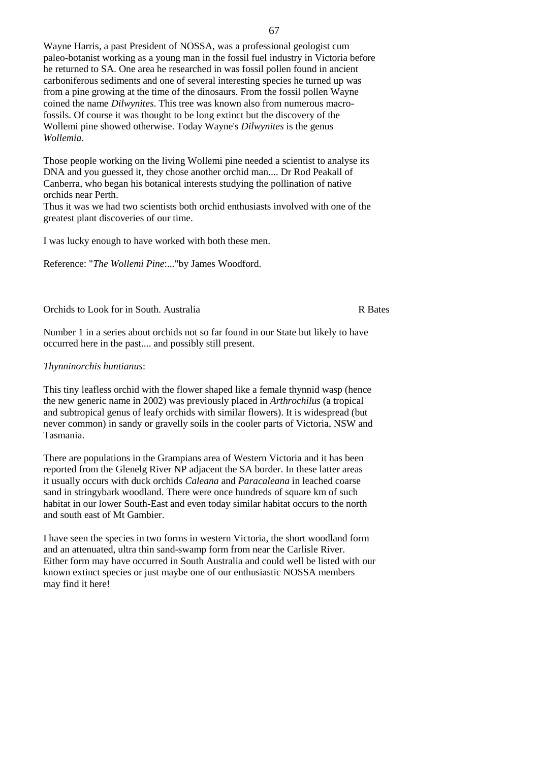Wayne Harris, a past President of NOSSA, was a professional geologist cum paleo-botanist working as a young man in the fossil fuel industry in Victoria before he returned to SA. One area he researched in was fossil pollen found in ancient carboniferous sediments and one of several interesting species he turned up was from a pine growing at the time of the dinosaurs. From the fossil pollen Wayne coined the name *Dilwynites*. This tree was known also from numerous macrofossils. Of course it was thought to be long extinct but the discovery of the Wollemi pine showed otherwise. Today Wayne's *Dilwynites* is the genus *Wollemia*.

Those people working on the living Wollemi pine needed a scientist to analyse its DNA and you guessed it, they chose another orchid man.... Dr Rod Peakall of Canberra, who began his botanical interests studying the pollination of native orchids near Perth.

Thus it was we had two scientists both orchid enthusiasts involved with one of the greatest plant discoveries of our time.

I was lucky enough to have worked with both these men.

Reference: "*The Wollemi Pine*:..."by James Woodford.

Orchids to Look for in South. Australia R Bates

Number 1 in a series about orchids not so far found in our State but likely to have occurred here in the past.... and possibly still present.

#### *Thynninorchis huntianus*:

This tiny leafless orchid with the flower shaped like a female thynnid wasp (hence the new generic name in 2002) was previously placed in *Arthrochilus* (a tropical and subtropical genus of leafy orchids with similar flowers). It is widespread (but never common) in sandy or gravelly soils in the cooler parts of Victoria, NSW and Tasmania.

There are populations in the Grampians area of Western Victoria and it has been reported from the Glenelg River NP adjacent the SA border. In these latter areas it usually occurs with duck orchids *Caleana* and *Paracaleana* in leached coarse sand in string when woodland. There were once hundreds of square km of such habitat in our lower South-East and even today similar habitat occurs to the north and south east of Mt Gambier.

I have seen the species in two forms in western Victoria, the short woodland form and an attenuated, ultra thin sand-swamp form from near the Carlisle River. Either form may have occurred in South Australia and could well be listed with our known extinct species or just maybe one of our enthusiastic NOSSA members may find it here!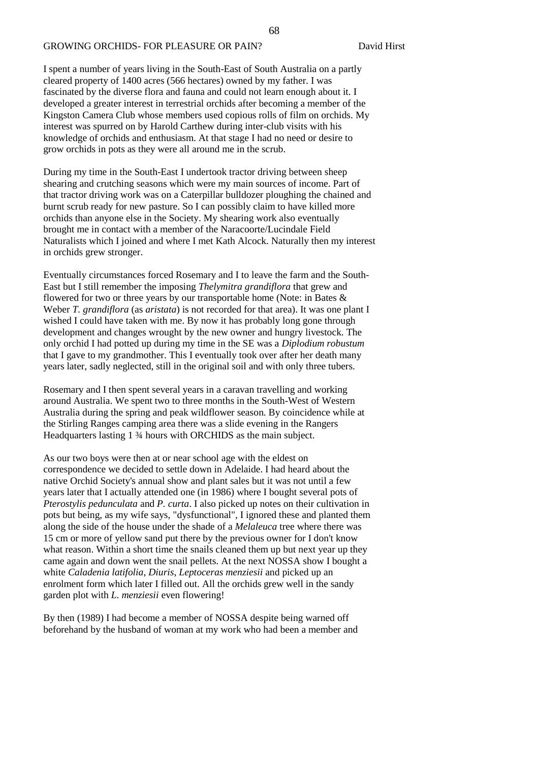#### GROWING ORCHIDS- FOR PLEASURE OR PAIN? David Hirst

I spent a number of years living in the South-East of South Australia on a partly cleared property of 1400 acres (566 hectares) owned by my father. I was fascinated by the diverse flora and fauna and could not learn enough about it. I developed a greater interest in terrestrial orchids after becoming a member of the Kingston Camera Club whose members used copious rolls of film on orchids. My interest was spurred on by Harold Carthew during inter-club visits with his knowledge of orchids and enthusiasm. At that stage I had no need or desire to grow orchids in pots as they were all around me in the scrub.

During my time in the South-East I undertook tractor driving between sheep shearing and crutching seasons which were my main sources of income. Part of that tractor driving work was on a Caterpillar bulldozer ploughing the chained and burnt scrub ready for new pasture. So I can possibly claim to have killed more orchids than anyone else in the Society. My shearing work also eventually brought me in contact with a member of the Naracoorte/Lucindale Field Naturalists which I joined and where I met Kath Alcock. Naturally then my interest in orchids grew stronger.

Eventually circumstances forced Rosemary and I to leave the farm and the South-East but I still remember the imposing *Thelymitra grandiflora* that grew and flowered for two or three years by our transportable home (Note: in Bates & Weber *T. grandiflora* (as *aristata*) is not recorded for that area). It was one plant I wished I could have taken with me. By now it has probably long gone through development and changes wrought by the new owner and hungry livestock. The only orchid I had potted up during my time in the SE was a *Diplodium robustum* that I gave to my grandmother. This I eventually took over after her death many years later, sadly neglected, still in the original soil and with only three tubers.

Rosemary and I then spent several years in a caravan travelling and working around Australia. We spent two to three months in the South-West of Western Australia during the spring and peak wildflower season. By coincidence while at the Stirling Ranges camping area there was a slide evening in the Rangers Headquarters lasting 1 ¾ hours with ORCHIDS as the main subject.

As our two boys were then at or near school age with the eldest on correspondence we decided to settle down in Adelaide. I had heard about the native Orchid Society's annual show and plant sales but it was not until a few years later that I actually attended one (in 1986) where I bought several pots of *Pterostylis pedunculata* and *P. curta*. I also picked up notes on their cultivation in pots but being, as my wife says, "dysfunctional", I ignored these and planted them along the side of the house under the shade of a *Melaleuca* tree where there was 15 cm or more of yellow sand put there by the previous owner for I don't know what reason. Within a short time the snails cleaned them up but next year up they came again and down went the snail pellets. At the next NOSSA show I bought a white *Caladenia latifolia*, *Diuris*, *Leptoceras menziesii* and picked up an enrolment form which later I filled out. All the orchids grew well in the sandy garden plot with *L. menziesii* even flowering!

By then (1989) I had become a member of NOSSA despite being warned off beforehand by the husband of woman at my work who had been a member and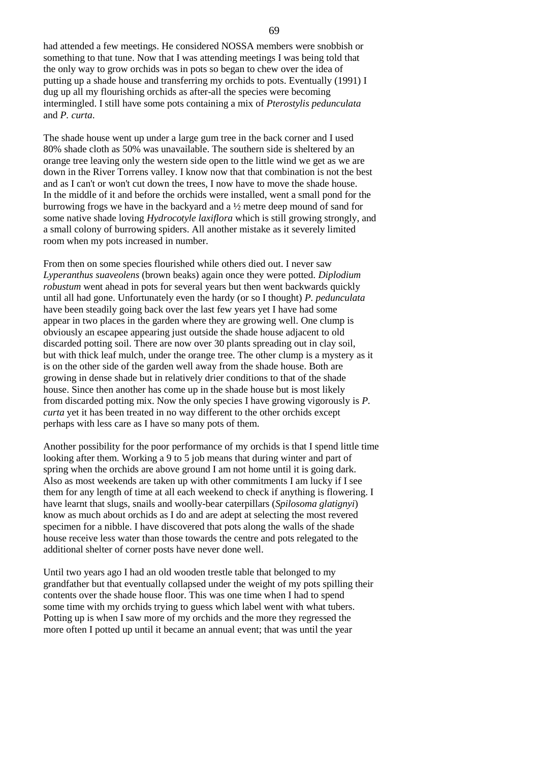had attended a few meetings. He considered NOSSA members were snobbish or something to that tune. Now that I was attending meetings I was being told that the only way to grow orchids was in pots so began to chew over the idea of putting up a shade house and transferring my orchids to pots. Eventually (1991) I dug up all my flourishing orchids as after-all the species were becoming intermingled. I still have some pots containing a mix of *Pterostylis pedunculata* and *P. curta*.

The shade house went up under a large gum tree in the back corner and I used 80% shade cloth as 50% was unavailable. The southern side is sheltered by an orange tree leaving only the western side open to the little wind we get as we are down in the River Torrens valley. I know now that that combination is not the best and as I can't or won't cut down the trees, I now have to move the shade house. In the middle of it and before the orchids were installed, went a small pond for the burrowing frogs we have in the backyard and a ½ metre deep mound of sand for some native shade loving *Hydrocotyle laxiflora* which is still growing strongly, and a small colony of burrowing spiders. All another mistake as it severely limited room when my pots increased in number.

From then on some species flourished while others died out. I never saw *Lyperanthus suaveolens* (brown beaks) again once they were potted. *Diplodium robustum* went ahead in pots for several years but then went backwards quickly until all had gone. Unfortunately even the hardy (or so I thought) *P. pedunculata* have been steadily going back over the last few years yet I have had some appear in two places in the garden where they are growing well. One clump is obviously an escapee appearing just outside the shade house adjacent to old discarded potting soil. There are now over 30 plants spreading out in clay soil, but with thick leaf mulch, under the orange tree. The other clump is a mystery as it is on the other side of the garden well away from the shade house. Both are growing in dense shade but in relatively drier conditions to that of the shade house. Since then another has come up in the shade house but is most likely from discarded potting mix. Now the only species I have growing vigorously is *P. curta* yet it has been treated in no way different to the other orchids except perhaps with less care as I have so many pots of them.

Another possibility for the poor performance of my orchids is that I spend little time looking after them. Working a 9 to 5 job means that during winter and part of spring when the orchids are above ground I am not home until it is going dark. Also as most weekends are taken up with other commitments I am lucky if I see them for any length of time at all each weekend to check if anything is flowering. I have learnt that slugs, snails and woolly-bear caterpillars (*Spilosoma glatignyi*) know as much about orchids as I do and are adept at selecting the most revered specimen for a nibble. I have discovered that pots along the walls of the shade house receive less water than those towards the centre and pots relegated to the additional shelter of corner posts have never done well.

Until two years ago I had an old wooden trestle table that belonged to my grandfather but that eventually collapsed under the weight of my pots spilling their contents over the shade house floor. This was one time when I had to spend some time with my orchids trying to guess which label went with what tubers. Potting up is when I saw more of my orchids and the more they regressed the more often I potted up until it became an annual event; that was until the year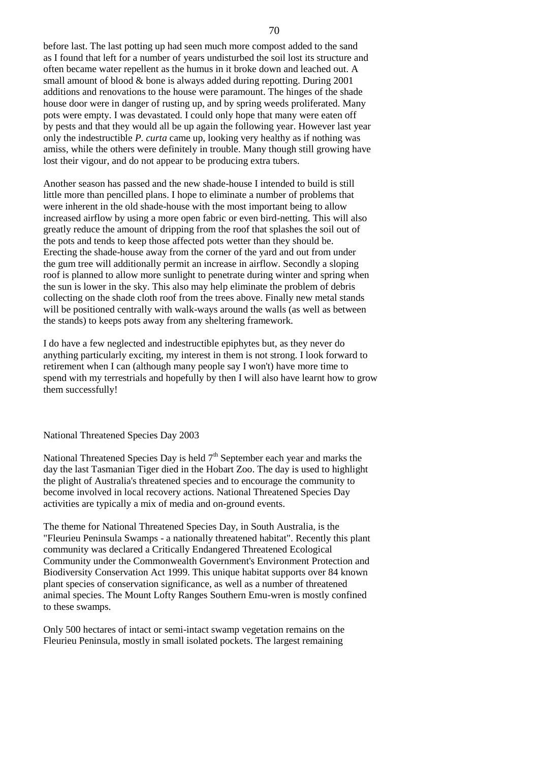before last. The last potting up had seen much more compost added to the sand as I found that left for a number of years undisturbed the soil lost its structure and often became water repellent as the humus in it broke down and leached out. A small amount of blood & bone is always added during repotting. During 2001 additions and renovations to the house were paramount. The hinges of the shade house door were in danger of rusting up, and by spring weeds proliferated. Many pots were empty. I was devastated. I could only hope that many were eaten off by pests and that they would all be up again the following year. However last year only the indestructible *P. curta* came up, looking very healthy as if nothing was amiss, while the others were definitely in trouble. Many though still growing have lost their vigour, and do not appear to be producing extra tubers.

Another season has passed and the new shade-house I intended to build is still little more than pencilled plans. I hope to eliminate a number of problems that were inherent in the old shade-house with the most important being to allow increased airflow by using a more open fabric or even bird-netting. This will also greatly reduce the amount of dripping from the roof that splashes the soil out of the pots and tends to keep those affected pots wetter than they should be. Erecting the shade-house away from the corner of the yard and out from under the gum tree will additionally permit an increase in airflow. Secondly a sloping roof is planned to allow more sunlight to penetrate during winter and spring when the sun is lower in the sky. This also may help eliminate the problem of debris collecting on the shade cloth roof from the trees above. Finally new metal stands will be positioned centrally with walk-ways around the walls (as well as between the stands) to keeps pots away from any sheltering framework.

I do have a few neglected and indestructible epiphytes but, as they never do anything particularly exciting, my interest in them is not strong. I look forward to retirement when I can (although many people say I won't) have more time to spend with my terrestrials and hopefully by then I will also have learnt how to grow them successfully!

#### National Threatened Species Day 2003

National Threatened Species Day is held  $7<sup>th</sup>$  September each year and marks the day the last Tasmanian Tiger died in the Hobart Zoo. The day is used to highlight the plight of Australia's threatened species and to encourage the community to become involved in local recovery actions. National Threatened Species Day activities are typically a mix of media and on-ground events.

The theme for National Threatened Species Day, in South Australia, is the "Fleurieu Peninsula Swamps - a nationally threatened habitat". Recently this plant community was declared a Critically Endangered Threatened Ecological Community under the Commonwealth Government's Environment Protection and Biodiversity Conservation Act 1999. This unique habitat supports over 84 known plant species of conservation significance, as well as a number of threatened animal species. The Mount Lofty Ranges Southern Emu-wren is mostly confined to these swamps.

Only 500 hectares of intact or semi-intact swamp vegetation remains on the Fleurieu Peninsula, mostly in small isolated pockets. The largest remaining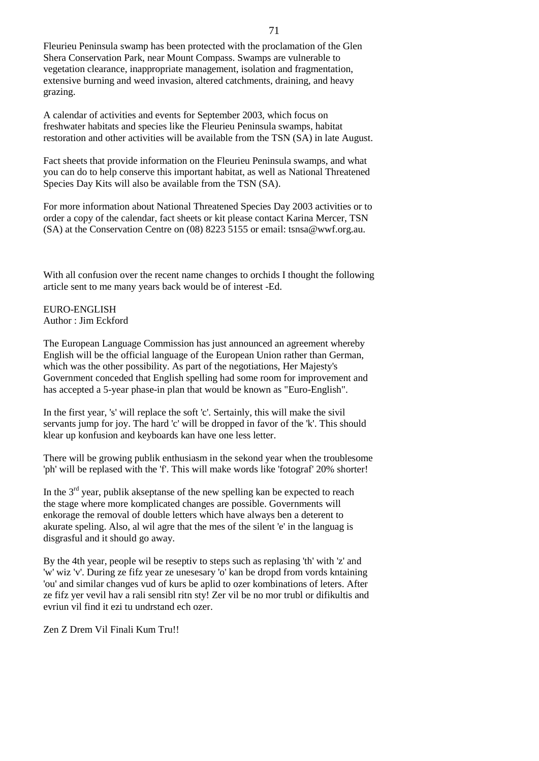Fleurieu Peninsula swamp has been protected with the proclamation of the Glen Shera Conservation Park, near Mount Compass. Swamps are vulnerable to vegetation clearance, inappropriate management, isolation and fragmentation, extensive burning and weed invasion, altered catchments, draining, and heavy grazing.

A calendar of activities and events for September 2003, which focus on freshwater habitats and species like the Fleurieu Peninsula swamps, habitat restoration and other activities will be available from the TSN (SA) in late August.

Fact sheets that provide information on the Fleurieu Peninsula swamps, and what you can do to help conserve this important habitat, as well as National Threatened Species Day Kits will also be available from the TSN (SA).

For more information about National Threatened Species Day 2003 activities or to order a copy of the calendar, fact sheets or kit please contact Karina Mercer, TSN (SA) at the Conservation Centre on (08) 8223 5155 or email: tsnsa@wwf.org.au.

With all confusion over the recent name changes to orchids I thought the following article sent to me many years back would be of interest -Ed.

EURO-ENGLISH Author : Jim Eckford

The European Language Commission has just announced an agreement whereby English will be the official language of the European Union rather than German, which was the other possibility. As part of the negotiations, Her Majesty's Government conceded that English spelling had some room for improvement and has accepted a 5-year phase-in plan that would be known as "Euro-English".

In the first year, 's' will replace the soft 'c'. Sertainly, this will make the sivil servants jump for joy. The hard 'c' will be dropped in favor of the 'k'. This should klear up konfusion and keyboards kan have one less letter.

There will be growing publik enthusiasm in the sekond year when the troublesome 'ph' will be replased with the 'f'. This will make words like 'fotograf' 20% shorter!

In the  $3<sup>rd</sup>$  year, publik akseptanse of the new spelling kan be expected to reach the stage where more komplicated changes are possible. Governments will enkorage the removal of double letters which have always ben a deterent to akurate speling. Also, al wil agre that the mes of the silent 'e' in the languag is disgrasful and it should go away.

By the 4th year, people wil be reseptiv to steps such as replasing 'th' with 'z' and 'w' wiz 'v'. During ze fifz year ze unesesary 'o' kan be dropd from vords kntaining 'ou' and similar changes vud of kurs be aplid to ozer kombinations of leters. After ze fifz yer vevil hav a rali sensibl ritn sty! Zer vil be no mor trubl or difikultis and evriun vil find it ezi tu undrstand ech ozer.

Zen Z Drem Vil Finali Kum Tru!!